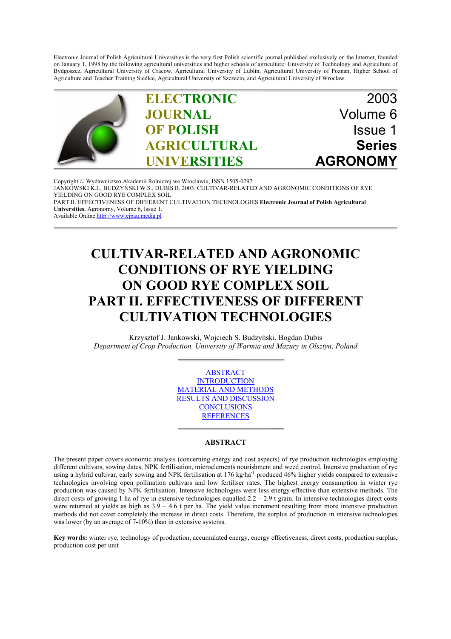Electronic Journal of Polish Agricultural Universities is the very first Polish scientific journal published exclusively on the Internet, founded on January 1, 1998 by the following agricultural universities and higher schools of agriculture: University of Technology and Agriculture of Bydgoszcz, Agricultural University of Cracow, Agricultural University of Lublin, Agricultural University of Poznan, Higher School of Agriculture and Teacher Training Siedlce, Agricultural University of Szczecin, and Agricultural University of Wroclaw.



Copyright © Wydawnictwo Akademii Rolniczej we Wroclawiu, ISSN 1505-0297 JANKOWSKI K.J., BUDZYŃSKI W.S., DUBIS B. 2003. CULTIVAR-RELATED AND AGRONOMIC CONDITIONS OF RYE YIELDING ON GOOD RYE COMPLEX SOIL PART II. EFFECTIVENESS OF DIFFERENT CULTIVATION TECHNOLOGIES **Electronic Journal of Polish Agricultural Universities**, Agronomy, Volume 6, Issue 1. Available Online http://www.ejpau.media.pl

# **CULTIVAR-RELATED AND AGRONOMIC CONDITIONS OF RYE YIELDING ON GOOD RYE COMPLEX SOIL PART II. EFFECTIVENESS OF DIFFERENT CULTIVATION TECHNOLOGIES**

Krzysztof J. Jankowski, Wojciech S. Budzyński, Bogdan Dubis *Department of Crop Production, University of Warmia and Mazury in Olsztyn, Poland*

> ABSTRACT **INTRODUCTION** MATERIAL AND METHODS RESULTS AND DISCUSSION **CONCLUSIONS REFERENCES**

## **ABSTRACT**

The present paper covers economic analysis (concerning energy and cost aspects) of rye production technologies employing different cultivars, sowing dates, NPK fertilisation, microelements nourishment and weed control. Intensive production of rye using a hybrid cultivar, early sowing and NPK fertilisation at 176 kg·ha<sup>-1</sup> produced 46% higher yields compared to extensive technologies involving open pollination cultivars and low fertiliser rates. The highest energy consumption in winter rye production was caused by NPK fertilisation. Intensive technologies were less energy-effective than extensive methods. The direct costs of growing 1 ha of rye in extensive technologies equalled  $2.2 - 2.9$  t grain. In intensive technologies direct costs were returned at yields as high as  $3.9 - 4.6$  t per ha. The yield value increment resulting from more intensive production methods did not cover completely the increase in direct costs. Therefore, the surplus of production in intensive technologies was lower (by an average of 7-10%) than in extensive systems.

**Key words:** winter rye, technology of production, accumulated energy, energy effectiveness, direct costs, production surplus, production cost per unit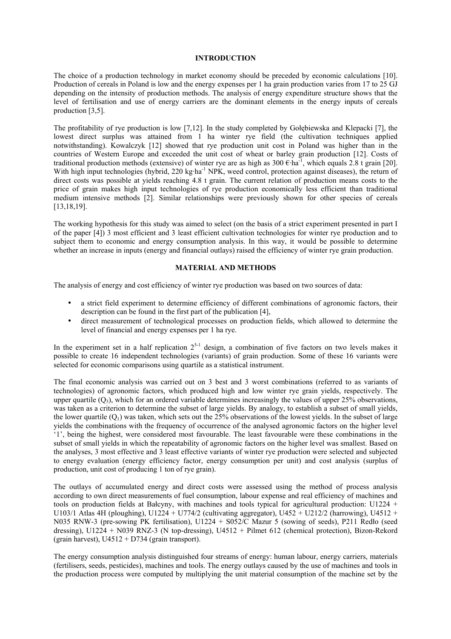## **INTRODUCTION**

The choice of a production technology in market economy should be preceded by economic calculations [10]. Production of cereals in Poland is low and the energy expenses per 1 ha grain production varies from 17 to 25 GJ depending on the intensity of production methods. The analysis of energy expenditure structure shows that the level of fertilisation and use of energy carriers are the dominant elements in the energy inputs of cereals production [3,5].

The profitability of rye production is low [7,12]. In the study completed by Gołębiewska and Klepacki [7], the lowest direct surplus was attained from 1 ha winter rye field (the cultivation techniques applied notwithstanding). Kowalczyk [12] showed that rye production unit cost in Poland was higher than in the countries of Western Europe and exceeded the unit cost of wheat or barley grain production [12]. Costs of traditional production methods (extensive) of winter rye are as high as  $300 \text{ }\epsilon \text{·ha}^{-1}$ , which equals 2.8 t grain [20]. With high input technologies (hybrid, 220 kg·ha<sup>-1</sup> NPK, weed control, protection against diseases), the return of direct costs was possible at yields reaching 4.8 t grain. The current relation of production means costs to the price of grain makes high input technologies of rye production economically less efficient than traditional medium intensive methods [2]. Similar relationships were previously shown for other species of cereals [13,18,19].

The working hypothesis for this study was aimed to select (on the basis of a strict experiment presented in part I of the paper [4]) 3 most efficient and 3 least efficient cultivation technologies for winter rye production and to subject them to economic and energy consumption analysis. In this way, it would be possible to determine whether an increase in inputs (energy and financial outlays) raised the efficiency of winter rye grain production.

## **MATERIAL AND METHODS**

The analysis of energy and cost efficiency of winter rye production was based on two sources of data:

- a strict field experiment to determine efficiency of different combinations of agronomic factors, their description can be found in the first part of the publication [4],
- direct measurement of technological processes on production fields, which allowed to determine the level of financial and energy expenses per 1 ha rye.

In the experiment set in a half replication  $2^{5-1}$  design, a combination of five factors on two levels makes it possible to create 16 independent technologies (variants) of grain production. Some of these 16 variants were selected for economic comparisons using quartile as a statistical instrument.

The final economic analysis was carried out on 3 best and 3 worst combinations (referred to as variants of technologies) of agronomic factors, which produced high and low winter rye grain yields, respectively. The upper quartile  $(O_3)$ , which for an ordered variable determines increasingly the values of upper 25% observations, was taken as a criterion to determine the subset of large yields. By analogy, to establish a subset of small yields, the lower quartile  $(Q_1)$  was taken, which sets out the 25% observations of the lowest yields. In the subset of large yields the combinations with the frequency of occurrence of the analysed agronomic factors on the higher level '1', being the highest, were considered most favourable. The least favourable were these combinations in the subset of small yields in which the repeatability of agronomic factors on the higher level was smallest. Based on the analyses, 3 most effective and 3 least effective variants of winter rye production were selected and subjected to energy evaluation (energy efficiency factor, energy consumption per unit) and cost analysis (surplus of production, unit cost of producing 1 ton of rye grain).

The outlays of accumulated energy and direct costs were assessed using the method of process analysis according to own direct measurements of fuel consumption, labour expense and real efficiency of machines and tools on production fields at Bałcyny, with machines and tools typical for agricultural production: U1224 + U103/1 Atlas 4H (ploughing), U1224 + U774/2 (cultivating aggregator), U452 + U212/2 (harrowing), U4512 + N035 RNW-3 (pre-sowing PK fertilisation), U1224 + S052/C Mazur 5 (sowing of seeds), P211 Redło (seed dressing), U1224 + N039 RNZ-3 (N top-dressing), U4512 + Pilmet 612 (chemical protection), Bizon-Rekord (grain harvest),  $U4512 + D734$  (grain transport).

The energy consumption analysis distinguished four streams of energy: human labour, energy carriers, materials (fertilisers, seeds, pesticides), machines and tools. The energy outlays caused by the use of machines and tools in the production process were computed by multiplying the unit material consumption of the machine set by the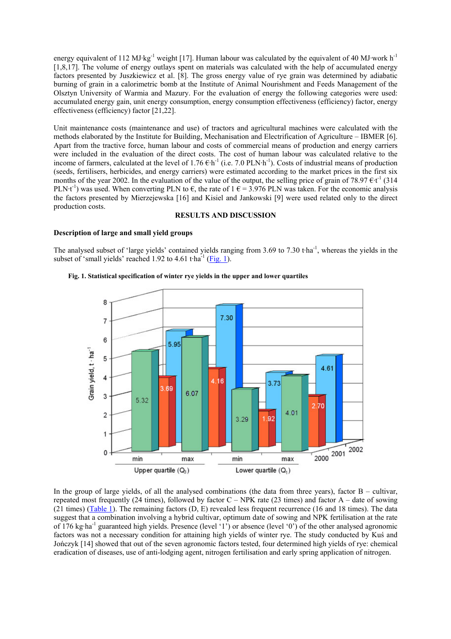energy equivalent of 112 MJ·kg<sup>-1</sup> weight [17]. Human labour was calculated by the equivalent of 40 MJ·work h<sup>-1</sup> [1,8,17]. The volume of energy outlays spent on materials was calculated with the help of accumulated energy factors presented by Juszkiewicz et al. [8]. The gross energy value of rye grain was determined by adiabatic burning of grain in a calorimetric bomb at the Institute of Animal Nourishment and Feeds Management of the Olsztyn University of Warmia and Mazury. For the evaluation of energy the following categories were used: accumulated energy gain, unit energy consumption, energy consumption effectiveness (efficiency) factor, energy effectiveness (efficiency) factor [21,22].

Unit maintenance costs (maintenance and use) of tractors and agricultural machines were calculated with the methods elaborated by the Institute for Building, Mechanisation and Electrification of Agriculture – IBMER [6]. Apart from the tractive force, human labour and costs of commercial means of production and energy carriers were included in the evaluation of the direct costs. The cost of human labour was calculated relative to the income of farmers, calculated at the level of  $1.76 \text{ } \text{E} \cdot \text{h}^{-1}$  (i.e. 7.0 PLN·h<sup>-1</sup>). Costs of industrial means of production (seeds, fertilisers, herbicides, and energy carriers) were estimated according to the market prices in the first six months of the year 2002. In the evaluation of the value of the output, the selling price of grain of 78.97  $\text{E} \cdot \text{t}^{-1}$  (314 PLN<sup>t-1</sup>) was used. When converting PLN to  $\epsilon$ , the rate of 1  $\epsilon$  = 3.976 PLN was taken. For the economic analysis the factors presented by Mierzejewska [16] and Kisiel and Jankowski [9] were used related only to the direct production costs.

# **RESULTS AND DISCUSSION**

## **Description of large and small yield groups**

The analysed subset of 'large yields' contained yields ranging from 3.69 to 7.30 t·ha<sup>-1</sup>, whereas the yields in the subset of 'small yields' reached 1.92 to 4.61 t $\text{tha}^{-1}$  (Fig. 1).



#### **Fig. 1. Statistical specification of winter rye yields in the upper and lower quartiles**

In the group of large yields, of all the analysed combinations (the data from three years), factor  $B -$  cultivar, repeated most frequently (24 times), followed by factor  $C - NPK$  rate (23 times) and factor  $A -$  date of sowing (21 times) (Table 1). The remaining factors (D, E) revealed less frequent recurrence (16 and 18 times). The data suggest that a combination involving a hybrid cultivar, optimum date of sowing and NPK fertilisation at the rate of 176 kg·ha<sup>-1</sup> guaranteed high yields. Presence (level '1') or absence (level '0') of the other analysed agronomic factors was not a necessary condition for attaining high yields of winter rye. The study conducted by Kuś and Jończyk [14] showed that out of the seven agronomic factors tested, four determined high yields of rye: chemical eradication of diseases, use of anti-lodging agent, nitrogen fertilisation and early spring application of nitrogen.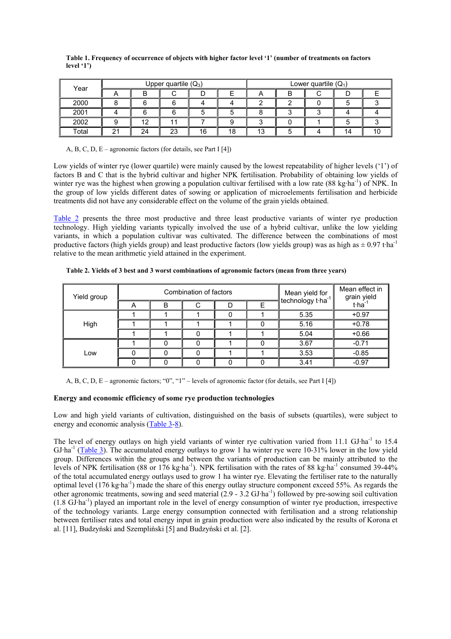| Year  |    |    | Upper quartile $(Q_3)$ |    |    | Lower quartile $(Q_1)$ |   |  |    |    |
|-------|----|----|------------------------|----|----|------------------------|---|--|----|----|
|       | n  | B  |                        | D  |    | n                      | В |  |    |    |
| 2000  |    |    |                        |    |    |                        |   |  |    |    |
| 2001  |    |    |                        |    |    |                        | ◠ |  |    |    |
| 2002  |    | 12 |                        |    |    |                        |   |  |    |    |
| Total | 21 | 24 | 23                     | 16 | 18 | 13                     | b |  | 14 | 10 |

**Table 1. Frequency of occurrence of objects with higher factor level '1' (number of treatments on factors level '1')**

A, B, C, D, E – agronomic factors (for details, see Part I [4])

Low yields of winter rye (lower quartile) were mainly caused by the lowest repeatability of higher levels ('1') of factors B and C that is the hybrid cultivar and higher NPK fertilisation. Probability of obtaining low yields of winter rye was the highest when growing a population cultivar fertilised with a low rate (88 kg·ha<sup>-1</sup>) of NPK. In the group of low yields different dates of sowing or application of microelements fertilisation and herbicide treatments did not have any considerable effect on the volume of the grain yields obtained.

Table 2 presents the three most productive and three least productive variants of winter rye production technology. High yielding variants typically involved the use of a hybrid cultivar, unlike the low yielding variants, in which a population cultivar was cultivated. The difference between the combinations of most productive factors (high yields group) and least productive factors (low yields group) was as high as  $\pm$  0.97 t·ha<sup>-1</sup> relative to the mean arithmetic yield attained in the experiment.

| Yield group |   |   | Combination of factors | Mean yield for<br>technology t-ha <sup>-1</sup> | Mean effect in<br>grain yield |                       |
|-------------|---|---|------------------------|-------------------------------------------------|-------------------------------|-----------------------|
|             | A | B |                        |                                                 |                               | $t$ ·ha <sup>-1</sup> |
|             |   |   |                        |                                                 | 5.35                          | $+0.97$               |
| High        |   |   |                        |                                                 | 5.16                          | $+0.78$               |
|             |   |   |                        |                                                 | 5.04                          | $+0.66$               |
|             |   |   |                        |                                                 | 3.67                          | $-0.71$               |
| Low         |   |   |                        | 3.53                                            |                               | $-0.85$               |
|             |   |   |                        |                                                 | 3.41                          | $-0.97$               |

**Table 2. Yields of 3 best and 3 worst combinations of agronomic factors (mean from three years)**

A, B, C, D, E – agronomic factors; "0", "1" – levels of agronomic factor (for details, see Part I [4])

# **Energy and economic efficiency of some rye production technologies**

Low and high yield variants of cultivation, distinguished on the basis of subsets (quartiles), were subject to energy and economic analysis (Table 3-8).

The level of energy outlays on high yield variants of winter rye cultivation varied from 11.1 GJ·ha<sup>-1</sup> to 15.4 GJ·ha<sup>-1</sup> (Table 3). The accumulated energy outlays to grow 1 ha winter rye were 10-31% lower in the low yield group. Differences within the groups and between the variants of production can be mainly attributed to the levels of NPK fertilisation (88 or 176 kg·ha<sup>-1</sup>). NPK fertilisation with the rates of 88 kg·ha<sup>-1</sup> consumed 39-44% of the total accumulated energy outlays used to grow 1 ha winter rye. Elevating the fertiliser rate to the naturally optimal level (176 kg·ha-1) made the share of this energy outlay structure component exceed 55%. As regards the other agronomic treatments, sowing and seed material (2.9 - 3.2 GJ·ha-1) followed by pre-sowing soil cultivation (1.8 GJ·ha-1) played an important role in the level of energy consumption of winter rye production, irrespective of the technology variants. Large energy consumption connected with fertilisation and a strong relationship between fertiliser rates and total energy input in grain production were also indicated by the results of Korona et al. [11], Budzyński and Szempliński [5] and Budzyński et al. [2].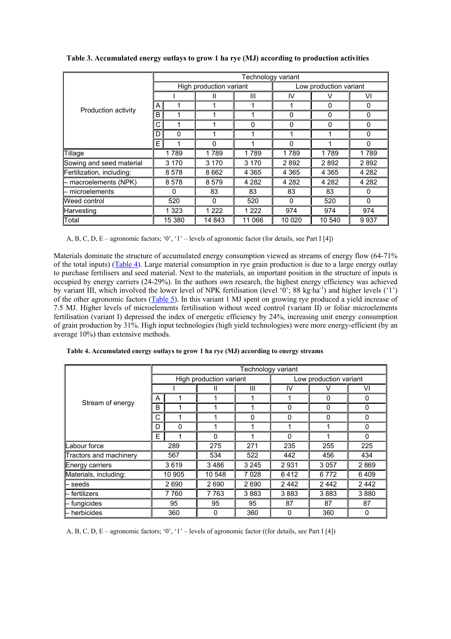|                                                                                                                                                                                                 |                                                                                                                                                                                                                                                                                                                                                                                                                                                   | Technology variant |          |   |                        |  |          |  |  |  |  |  |
|-------------------------------------------------------------------------------------------------------------------------------------------------------------------------------------------------|---------------------------------------------------------------------------------------------------------------------------------------------------------------------------------------------------------------------------------------------------------------------------------------------------------------------------------------------------------------------------------------------------------------------------------------------------|--------------------|----------|---|------------------------|--|----------|--|--|--|--|--|
| $\mathsf{A}$<br>1<br>Production activity<br>B<br>1<br>C<br>1<br>D<br>0<br>E <br>1<br>1789<br>Sowing and seed material<br>3 1 7 0<br>8578<br>8578<br>– microelements<br>$\Omega$<br>520<br>1 323 |                                                                                                                                                                                                                                                                                                                                                                                                                                                   |                    |          |   | Low production variant |  |          |  |  |  |  |  |
|                                                                                                                                                                                                 | Ш<br>Ш                                                                                                                                                                                                                                                                                                                                                                                                                                            |                    | IV       | V | VI                     |  |          |  |  |  |  |  |
|                                                                                                                                                                                                 | High production variant<br>0<br>1<br>1<br>$\mathbf 0$<br>0<br>1<br>0<br>$\Omega$<br>$\Omega$<br>1<br>1<br>1<br>1<br>0<br>1<br>$\Omega$<br>1789<br>1789<br>1789<br>1789<br>3 1 7 0<br>2892<br>3 1 7 0<br>2892<br>8662<br>4 3 6 5<br>4 3 6 5<br>4 3 6 5<br>8579<br>4 2 8 2<br>4 2 8 2<br>4 282<br>83<br>83<br>83<br>83<br>520<br>520<br>$\Omega$<br>$\Omega$<br>1 2 2 2<br>974<br>1 2 2 2<br>974<br>15 380<br>14 843<br>11 066<br>10 0 20<br>10 540 | 0                  |          |   |                        |  |          |  |  |  |  |  |
| Tillage                                                                                                                                                                                         |                                                                                                                                                                                                                                                                                                                                                                                                                                                   |                    |          |   |                        |  | 0        |  |  |  |  |  |
|                                                                                                                                                                                                 |                                                                                                                                                                                                                                                                                                                                                                                                                                                   |                    |          |   |                        |  | $\Omega$ |  |  |  |  |  |
|                                                                                                                                                                                                 |                                                                                                                                                                                                                                                                                                                                                                                                                                                   |                    |          |   |                        |  | 0        |  |  |  |  |  |
|                                                                                                                                                                                                 |                                                                                                                                                                                                                                                                                                                                                                                                                                                   |                    | $\Omega$ |   |                        |  |          |  |  |  |  |  |
|                                                                                                                                                                                                 |                                                                                                                                                                                                                                                                                                                                                                                                                                                   |                    |          |   |                        |  | 1789     |  |  |  |  |  |
|                                                                                                                                                                                                 |                                                                                                                                                                                                                                                                                                                                                                                                                                                   |                    |          |   |                        |  | 2892     |  |  |  |  |  |
| Fertilization, including:                                                                                                                                                                       |                                                                                                                                                                                                                                                                                                                                                                                                                                                   |                    |          |   |                        |  | 4 2 8 2  |  |  |  |  |  |
| $\vdash$ macroelements (NPK)                                                                                                                                                                    |                                                                                                                                                                                                                                                                                                                                                                                                                                                   |                    |          |   |                        |  | 4 2 8 2  |  |  |  |  |  |
|                                                                                                                                                                                                 |                                                                                                                                                                                                                                                                                                                                                                                                                                                   |                    |          |   |                        |  | 0        |  |  |  |  |  |
| Weed control                                                                                                                                                                                    |                                                                                                                                                                                                                                                                                                                                                                                                                                                   |                    |          |   |                        |  | $\Omega$ |  |  |  |  |  |
| Harvesting                                                                                                                                                                                      |                                                                                                                                                                                                                                                                                                                                                                                                                                                   |                    |          |   |                        |  | 974      |  |  |  |  |  |
| Total                                                                                                                                                                                           |                                                                                                                                                                                                                                                                                                                                                                                                                                                   |                    |          |   |                        |  | 9937     |  |  |  |  |  |

**Table 3. Accumulated energy outlays to grow 1 ha rye (MJ) according to production activities**

A, B, C, D, E – agronomic factors; '0', '1' – levels of agronomic factor (for details, see Part I [4])

Materials dominate the structure of accumulated energy consumption viewed as streams of energy flow (64-71%) of the total inputs) (Table 4). Large material consumption in rye grain production is due to a large energy outlay to purchase fertilisers and seed material. Next to the materials, an important position in the structure of inputs is occupied by energy carriers (24-29%). In the authors own research, the highest energy efficiency was achieved by variant III, which involved the lower level of NPK fertilisation (level '0'; 88 kg·ha<sup>-1</sup>) and higher levels ('1') of the other agronomic factors (Table 5). In this variant 1 MJ spent on growing rye produced a yield increase of 7.5 MJ. Higher levels of microelements fertilisation without weed control (variant II) or foliar microelements fertilisation (variant I) depressed the index of energetic efficiency by 24%, increasing unit energy consumption of grain production by 31%. High input technologies (high yield technologies) were more energy-efficient (by an average 10%) than extensive methods.

**Table 4. Accumulated energy outlays to grow 1 ha rye (MJ) according to energy streams**

|                        |    | Technology variant |                         |         |                        |          |      |  |  |  |  |  |
|------------------------|----|--------------------|-------------------------|---------|------------------------|----------|------|--|--|--|--|--|
|                        |    |                    | High production variant |         | Low production variant |          |      |  |  |  |  |  |
|                        |    |                    |                         | Ш       | IV                     | V        | VI   |  |  |  |  |  |
|                        | A  | 4                  | 1                       | 1       | 1                      | 0        | 0    |  |  |  |  |  |
| Stream of energy       | B  |                    | 1                       | ◢       | 0                      | 0        | 0    |  |  |  |  |  |
|                        | C  |                    |                         | 0       | $\mathbf 0$            | $\Omega$ | 0    |  |  |  |  |  |
|                        | D  | $\Omega$           | 1                       | 1       | 1                      | 1        | 0    |  |  |  |  |  |
|                        | E  |                    | 0                       | 4       | 0                      |          | 0    |  |  |  |  |  |
| Labour force           |    | 289                | 275                     | 271     | 235                    | 255      | 225  |  |  |  |  |  |
| Tractors and machinery |    | 567                | 534                     | 522     | 442                    | 456      | 434  |  |  |  |  |  |
| Energy carriers        |    | 3619               | 3486                    | 3 2 4 5 | 2931                   | 3 0 5 7  | 2869 |  |  |  |  |  |
| Materials, including:  |    | 10 905             | 10 548                  | 7028    | 6412                   | 6772     | 6409 |  |  |  |  |  |
| seeds                  |    | 2690               | 2690                    | 2690    | 2442                   | 2442     | 2442 |  |  |  |  |  |
| - fertilizers          |    | 7760               | 7 7 6 3                 | 3883    | 3883                   | 3883     | 3880 |  |  |  |  |  |
| fungicides             | 95 |                    | 95                      | 95      | 87                     | 87       | 87   |  |  |  |  |  |
| - herbicides           |    | 360                | 0                       | 360     | 0                      | 360      | 0    |  |  |  |  |  |

A, B, C, D, E – agronomic factors; '0', '1' – levels of agronomic factor ((for details, see Part I [4])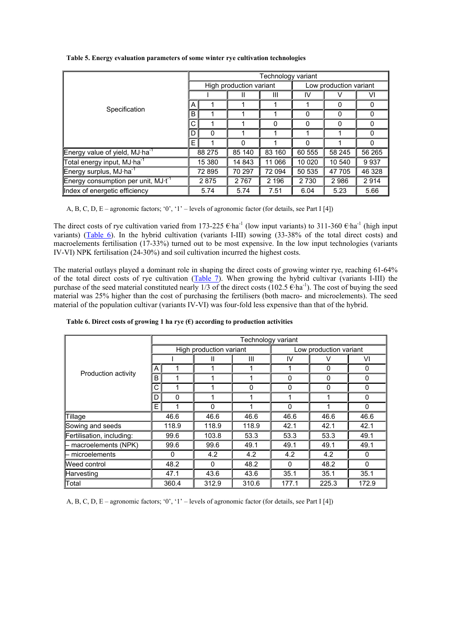|                                          | Technology variant |        |                         |         |                        |                                                         |        |  |  |  |
|------------------------------------------|--------------------|--------|-------------------------|---------|------------------------|---------------------------------------------------------|--------|--|--|--|
|                                          |                    |        | High production variant |         | Low production variant |                                                         |        |  |  |  |
|                                          |                    |        |                         | Ш       | IV                     |                                                         | V١     |  |  |  |
| Specification                            | A                  |        |                         |         |                        | 0                                                       | 0      |  |  |  |
|                                          | B                  |        |                         |         | 0                      | 0                                                       | 0      |  |  |  |
|                                          | C                  |        |                         | 0       | $\Omega$               | 0                                                       | 0      |  |  |  |
|                                          | D                  | 0      |                         |         |                        |                                                         | 0      |  |  |  |
|                                          | E.                 |        | $\Omega$                |         | O                      | 0<br>58 245<br>10 540<br>47 705<br>2986<br>5.66<br>5.23 |        |  |  |  |
| Energy value of yield, $MJ·ha^{-1}$      |                    | 88 275 | 85 140                  | 83 160  | 60 555                 |                                                         | 56 265 |  |  |  |
| Total energy input, MJ·ha <sup>-1</sup>  |                    | 15 380 | 14 843                  | 11 066  | 10 0 20                |                                                         | 9937   |  |  |  |
| Energy surplus, MJ·ha <sup>-1</sup>      |                    | 72 895 | 70 297                  | 72 094  | 50 535                 |                                                         | 46 328 |  |  |  |
| Energy consumption per unit, $MJ·t^{-1}$ |                    | 2875   | 2 7 6 7                 | 2 1 9 6 | 2 7 3 0                |                                                         | 2914   |  |  |  |
| Index of energetic efficiency            |                    | 5.74   | 5.74                    | 7.51    | 6.04                   |                                                         |        |  |  |  |

**Table 5. Energy evaluation parameters of some winter rye cultivation technologies**

A, B, C, D, E – agronomic factors; '0', '1' – levels of agronomic factor (for details, see Part I [4])

The direct costs of rye cultivation varied from 173-225  $\epsilon$ ·ha<sup>-1</sup> (low input variants) to 311-360  $\epsilon$ ·ha<sup>-1</sup> (high input variants) (Table 6). In the hybrid cultivation (variants I-III) sowing (33-38% of the total direct costs) and macroelements fertilisation (17-33%) turned out to be most expensive. In the low input technologies (variants IV-VI) NPK fertilisation (24-30%) and soil cultivation incurred the highest costs.

The material outlays played a dominant role in shaping the direct costs of growing winter rye, reaching 61-64% of the total direct costs of rye cultivation (Table 7). When growing the hybrid cultivar (variants I-III) the purchase of the seed material constituted nearly 1/3 of the direct costs (102.5  $\epsilon$ ·ha<sup>-1</sup>). The cost of buying the seed material was 25% higher than the cost of purchasing the fertilisers (both macro- and microelements). The seed material of the population cultivar (variants IV-VI) was four-fold less expensive than that of the hybrid.

|                                              |      | Technology variant |                         |          |                        |                                                                                                                                                                                                                                          |       |  |  |  |  |  |
|----------------------------------------------|------|--------------------|-------------------------|----------|------------------------|------------------------------------------------------------------------------------------------------------------------------------------------------------------------------------------------------------------------------------------|-------|--|--|--|--|--|
|                                              |      |                    | High production variant |          | Low production variant |                                                                                                                                                                                                                                          |       |  |  |  |  |  |
| A<br>Production activity<br>B<br>C<br>D<br>E |      | Ш                  | Ш                       | IV       |                        | VI                                                                                                                                                                                                                                       |       |  |  |  |  |  |
|                                              |      | 1                  |                         |          |                        | 0<br>0<br>$\mathbf 0$<br>$\Omega$<br>0<br>0<br>$\Omega$<br>$\Omega$<br>$\Omega$<br>1<br>$\Omega$<br>$\Omega$<br>46.6<br>46.6<br>42.1<br>42.1<br>49.1<br>53.3<br>49.1<br>49.1<br>4.2<br>0<br>48.2<br>$\Omega$<br>$\Omega$<br>35.1<br>35.1 |       |  |  |  |  |  |
|                                              |      | 1                  | 1                       |          |                        |                                                                                                                                                                                                                                          |       |  |  |  |  |  |
|                                              | 1    |                    | 1                       | $\Omega$ |                        |                                                                                                                                                                                                                                          |       |  |  |  |  |  |
|                                              | 0    |                    | 1                       |          |                        |                                                                                                                                                                                                                                          |       |  |  |  |  |  |
|                                              |      |                    | 0                       |          |                        |                                                                                                                                                                                                                                          |       |  |  |  |  |  |
| Tillage                                      | 46.6 |                    | 46.6                    | 46.6     | 46.6                   |                                                                                                                                                                                                                                          |       |  |  |  |  |  |
| Sowing and seeds                             |      | 118.9              | 118.9                   | 118.9    | 42.1                   |                                                                                                                                                                                                                                          |       |  |  |  |  |  |
| Fertilisation, including:                    |      | 99.6               | 103.8                   | 53.3     | 53.3                   |                                                                                                                                                                                                                                          |       |  |  |  |  |  |
| - macroelements (NPK)                        |      | 99.6               | 99.6                    | 49.1     | 49.1                   |                                                                                                                                                                                                                                          |       |  |  |  |  |  |
| – microelements                              |      | $\Omega$           | 4.2                     | 4.2      | 4.2                    |                                                                                                                                                                                                                                          |       |  |  |  |  |  |
| Weed control                                 |      | 48.2               | 0                       | 48.2     |                        |                                                                                                                                                                                                                                          |       |  |  |  |  |  |
| Harvesting                                   |      | 47.1               | 43.6                    | 43.6     | 35.1                   |                                                                                                                                                                                                                                          |       |  |  |  |  |  |
| Total                                        |      | 360.4              | 312.9                   | 310.6    | 177.1                  | 225.3                                                                                                                                                                                                                                    | 172.9 |  |  |  |  |  |

**Table 6. Direct costs of growing 1 ha rye (€) according to production activities**

A, B, C, D, E – agronomic factors; '0', '1' – levels of agronomic factor (for details, see Part I [4])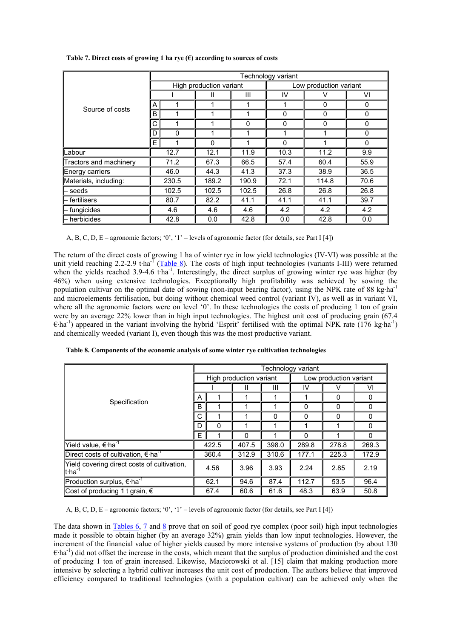|                        | Technology variant |       |                         |          |                        |          |      |  |  |  |  |
|------------------------|--------------------|-------|-------------------------|----------|------------------------|----------|------|--|--|--|--|
|                        |                    |       | High production variant |          | Low production variant |          |      |  |  |  |  |
|                        |                    |       | Ш                       | Ш        | IV                     | v        | VI   |  |  |  |  |
|                        | A                  | 1     | 1                       | 1        | 1                      | $\Omega$ | 0    |  |  |  |  |
| Source of costs        | B                  |       | 1                       | 1        | $\mathbf 0$            | 0        | 0    |  |  |  |  |
|                        | С                  | 1     | 1                       | $\Omega$ | $\Omega$               | $\Omega$ | 0    |  |  |  |  |
|                        | D                  | 0     | 1                       | 1        |                        | 1        | 0    |  |  |  |  |
|                        | E.                 | 1     | $\Omega$                | 1        | $\Omega$               | 1        | 0    |  |  |  |  |
| Labour                 |                    | 12.7  | 12.1                    | 11.9     | 10.3                   | 11.2     | 9.9  |  |  |  |  |
| Tractors and machinery |                    | 71.2  | 67.3                    | 66.5     | 57.4                   | 60.4     | 55.9 |  |  |  |  |
| Energy carriers        |                    | 46.0  | 44.3                    | 41.3     | 37.3                   | 38.9     | 36.5 |  |  |  |  |
| Materials, including:  | 230.5              |       | 189.2                   | 190.9    | 72.1                   | 114.8    | 70.6 |  |  |  |  |
| seeds                  |                    | 102.5 | 102.5                   | 102.5    | 26.8                   | 26.8     | 26.8 |  |  |  |  |
| fertilisers            |                    | 80.7  | 82.2                    | 41.1     | 41.1                   | 41.1     | 39.7 |  |  |  |  |
| fungicides             |                    | 4.6   | 4.6                     | 4.6      | 4.2                    | 4.2      | 4.2  |  |  |  |  |
| herbicides             |                    | 42.8  | 0.0                     | 42.8     | 0.0                    | 42.8     | 0.0  |  |  |  |  |

# **Table 7. Direct costs of growing 1 ha rye (€) according to sources of costs**

A, B, C, D, E – agronomic factors; '0', '1' – levels of agronomic factor (for details, see Part I [4])

The return of the direct costs of growing 1 ha of winter rye in low yield technologies (IV-VI) was possible at the unit yield reaching 2.2-2.9 t·ha<sup>-1</sup> (Table 8). The costs of high input technologies (variants I-III) were returned when the yields reached 3.9-4.6 tha<sup>-1</sup>. Interestingly, the direct surplus of growing winter rye was higher (by 46%) when using extensive technologies. Exceptionally high profitability was achieved by sowing the population cultivar on the optimal date of sowing (non-input bearing factor), using the NPK rate of 88 kg·ha<sup>-1</sup> and microelements fertilisation, but doing without chemical weed control (variant IV), as well as in variant VI, where all the agronomic factors were on level '0'. In these technologies the costs of producing 1 ton of grain were by an average 22% lower than in high input technologies. The highest unit cost of producing grain (67.4  $\epsilon$ ·ha<sup>-1</sup>) appeared in the variant involving the hybrid 'Esprit' fertilised with the optimal NPK rate (176 kg·ha<sup>-1</sup>) and chemically weeded (variant I), even though this was the most productive variant.

**Table 8. Components of the economic analysis of some winter rye cultivation technologies**

|                                                                    | Technology variant |             |                         |          |                        |          |          |  |  |
|--------------------------------------------------------------------|--------------------|-------------|-------------------------|----------|------------------------|----------|----------|--|--|
|                                                                    |                    |             | High production variant |          | Low production variant |          |          |  |  |
| Specification                                                      |                    |             | Ш                       | Ш        | IV                     |          | VI       |  |  |
|                                                                    | A                  |             |                         |          |                        | 0        | 0        |  |  |
|                                                                    | В                  |             |                         |          | $\Omega$               | $\Omega$ | 0        |  |  |
|                                                                    | C                  |             |                         | $\Omega$ | 0                      | 0        | $\Omega$ |  |  |
|                                                                    | D                  | $\mathbf 0$ |                         |          |                        |          | $\Omega$ |  |  |
|                                                                    | E                  |             | 0                       |          | $\Omega$               |          | $\Omega$ |  |  |
| Yield value, € ha <sup>-1</sup>                                    |                    | 422.5       | 407.5                   | 398.0    | 289.8                  | 278.8    | 269.3    |  |  |
| Direct costs of cultivation, $€$ ·ha <sup>-1</sup>                 | 360.4              |             | 312.9                   | 310.6    | 177.1                  | 225.3    | 172.9    |  |  |
| [Yield covering direct costs of cultivation,<br>∦∙ha <sup>-1</sup> |                    | 4.56        | 3.96                    | 3.93     | 2.24                   | 2.85     | 2.19     |  |  |
| Production surplus, $\overline{\epsilon}$ ha <sup>-1</sup>         | 62.1               |             | 94.6                    | 87.4     | 112.7                  | 53.5     | 96.4     |  |  |
| Cost of producing 1 t grain, $€$                                   |                    | 67.4        | 60.6                    | 61.6     | 48.3                   | 63.9     | 50.8     |  |  |

A, B, C, D, E – agronomic factors; '0', '1' – levels of agronomic factor (for details, see Part I [4])

The data shown in Tables 6, 7 and 8 prove that on soil of good rye complex (poor soil) high input technologies made it possible to obtain higher (by an average 32%) grain yields than low input technologies. However, the increment of the financial value of higher yields caused by more intensive systems of production (by about 130  $\epsilon$ ·ha<sup>-1</sup>) did not offset the increase in the costs, which meant that the surplus of production diminished and the cost of producing 1 ton of grain increased. Likewise, Maciorowski et al. [15] claim that making production more intensive by selecting a hybrid cultivar increases the unit cost of production. The authors believe that improved efficiency compared to traditional technologies (with a population cultivar) can be achieved only when the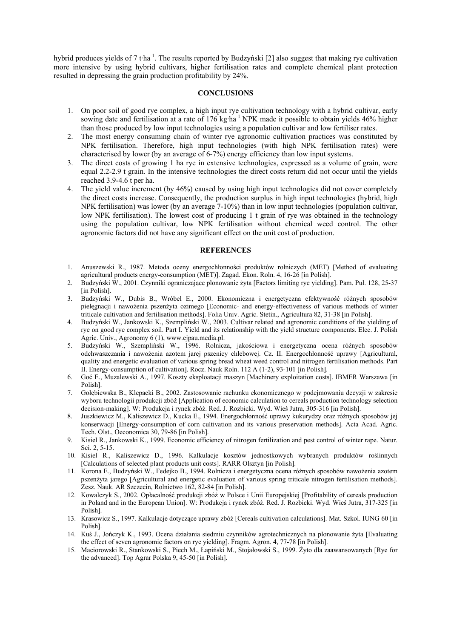hybrid produces yields of 7 t·ha<sup>-1</sup>. The results reported by Budzyński [2] also suggest that making rye cultivation more intensive by using hybrid cultivars, higher fertilisation rates and complete chemical plant protection resulted in depressing the grain production profitability by 24%.

## **CONCLUSIONS**

- 1. On poor soil of good rye complex, a high input rye cultivation technology with a hybrid cultivar, early sowing date and fertilisation at a rate of 176 kg·ha<sup>-1</sup> NPK made it possible to obtain yields 46% higher than those produced by low input technologies using a population cultivar and low fertiliser rates.
- 2. The most energy consuming chain of winter rye agronomic cultivation practices was constituted by NPK fertilisation. Therefore, high input technologies (with high NPK fertilisation rates) were characterised by lower (by an average of 6-7%) energy efficiency than low input systems.
- 3. The direct costs of growing 1 ha rye in extensive technologies, expressed as a volume of grain, were equal 2.2-2.9 t grain. In the intensive technologies the direct costs return did not occur until the yields reached 3.9-4.6 t per ha.
- 4. The yield value increment (by 46%) caused by using high input technologies did not cover completely the direct costs increase. Consequently, the production surplus in high input technologies (hybrid, high NPK fertilisation) was lower (by an average 7-10%) than in low input technologies (population cultivar, low NPK fertilisation). The lowest cost of producing 1 t grain of rye was obtained in the technology using the population cultivar, low NPK fertilisation without chemical weed control. The other agronomic factors did not have any significant effect on the unit cost of production.

# **REFERENCES**

- 1. Anuszewski R., 1987. Metoda oceny energochłonności produktów rolniczych (MET) [Method of evaluating agricultural products energy-consumption (MET)]. Zagad. Ekon. Roln. 4, 16-26 [in Polish].
- 2. Budzyński W., 2001. Czynniki ograniczające plonowanie żyta [Factors limiting rye yielding]. Pam. Puł. 128, 25-37 [in Polish].
- 3. Budzyński W., Dubis B., Wróbel E., 2000. Ekonomiczna i energetyczna efektywność różnych sposobów pielęgnacji i nawożenia pszenżyta ozimego [Economic- and energy-effectiveness of various methods of winter triticale cultivation and fertilisation methods]. Folia Univ. Agric. Stetin., Agricultura 82, 31-38 [in Polish].
- 4. Budzyński W., Jankowski K., Szempliński W., 2003. Cultivar related and agronomic conditions of the yielding of rye on good rye complex soil. Part I. Yield and its relationship with the yield structure components. Elec. J. Polish Agric. Univ., Agronomy 6 (1), www.ejpau.media.pl.
- 5. Budzyński W., Szempliński W., 1996. Rolnicza, jakościowa i energetyczna ocena różnych sposobów odchwaszczania i nawożenia azotem jarej pszenicy chlebowej. Cz. II. Energochłonność uprawy [Agricultural, quality and energetic evaluation of various spring bread wheat weed control and nitrogen fertilisation methods. Part II. Energy-consumption of cultivation]. Rocz. Nauk Roln. 112 A (1-2), 93-101 [in Polish].
- 6. Goć E., Muzalewski A., 1997. Koszty eksploatacji maszyn [Machinery exploitation costs]. IBMER Warszawa [in Polish].
- 7. Gołębiewska B., Klepacki B., 2002. Zastosowanie rachunku ekonomicznego w podejmowaniu decyzji w zakresie wyboru technologii produkcji zbóż [Application of economic calculation to cereals production technology selection decision-making]. W: Produkcja i rynek zbóż. Red. J. Rozbicki. Wyd. Wieś Jutra, 305-316 [in Polish].
- 8. Juszkiewicz M., Kaliszewicz D., Kucka E., 1994. Energochłonność uprawy kukurydzy oraz różnych sposobów jej konserwacji [Energy-consumption of corn cultivation and its various preservation methods]. Acta Acad. Agric. Tech. Olst., Oeconomica 30, 79-86 [in Polish].
- 9. Kisiel R., Jankowski K., 1999. Economic efficiency of nitrogen fertilization and pest control of winter rape. Natur. Sci. 2, 5-15.
- 10. Kisiel R., Kaliszewicz D., 1996. Kalkulacje kosztów jednostkowych wybranych produktów roślinnych [Calculations of selected plant products unit costs]. RARR Olsztyn [in Polish].
- 11. Korona E., Budzyński W., Fedejko B., 1994. Rolnicza i energetyczna ocena różnych sposobów nawożenia azotem pszenżyta jarego [Agricultural and energetic evaluation of various spring triticale nitrogen fertilisation methods]. Zesz. Nauk. AR Szczecin, Rolnictwo 162, 82-84 [in Polish].
- 12. Kowalczyk S., 2002. Opłacalność produkcji zbóż w Polsce i Unii Europejskiej [Profitability of cereals production in Poland and in the European Union]. W: Produkcja i rynek zbóż. Red. J. Rozbicki. Wyd. Wieś Jutra, 317-325 [in Polish].
- 13. Krasowicz S., 1997. Kalkulacje dotyczące uprawy zbóż [Cereals cultivation calculations]. Mat. Szkol. IUNG 60 [in Polish].
- 14. Kuś J., Jończyk K., 1993. Ocena działania siedmiu czynników agrotechnicznych na plonowanie żyta [Evaluating the effect of seven agronomic factors on rye yielding]. Fragm. Agron. 4, 77-78 [in Polish].
- 15. Maciorowski R., Stankowski S., Piech M., Łapiński M., Stojałowski S., 1999. Żyto dla zaawansowanych [Rye for the advanced]. Top Agrar Polska 9, 45-50 [in Polish].